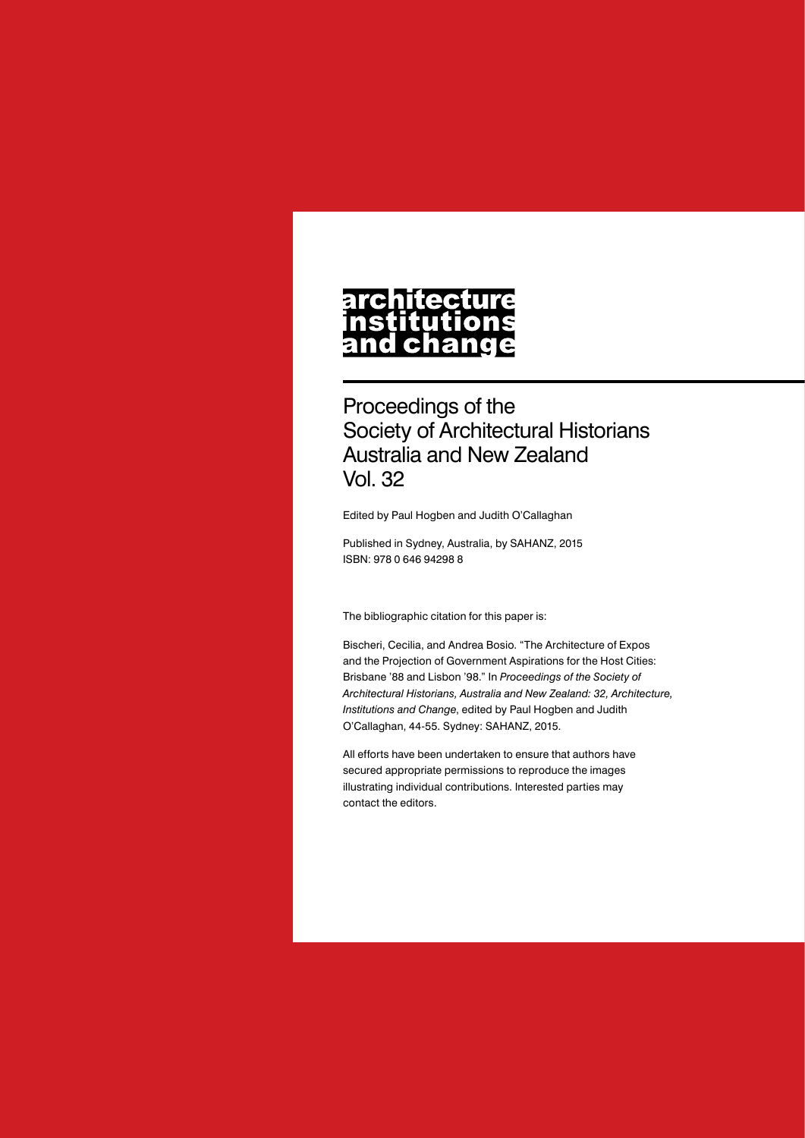# architecture nstitutions<br>and change

Proceedings of the Society of Architectural Historians Australia and New Zealand Vol. 32

Edited by Paul Hogben and Judith O'Callaghan

Published in Sydney, Australia, by SAHANZ, 2015 ISBN: 978 0 646 94298 8

The bibliographic citation for this paper is:

Bischeri, Cecilia, and Andrea Bosio. "The Architecture of Expos and the Projection of Government Aspirations for the Host Cities: Brisbane '88 and Lisbon '98." In *Proceedings of the Society of Architectural Historians, Australia and New Zealand: 32, Architecture, Institutions and Change*, edited by Paul Hogben and Judith O'Callaghan, 44-55. Sydney: SAHANZ, 2015.

All efforts have been undertaken to ensure that authors have secured appropriate permissions to reproduce the images illustrating individual contributions. Interested parties may contact the editors.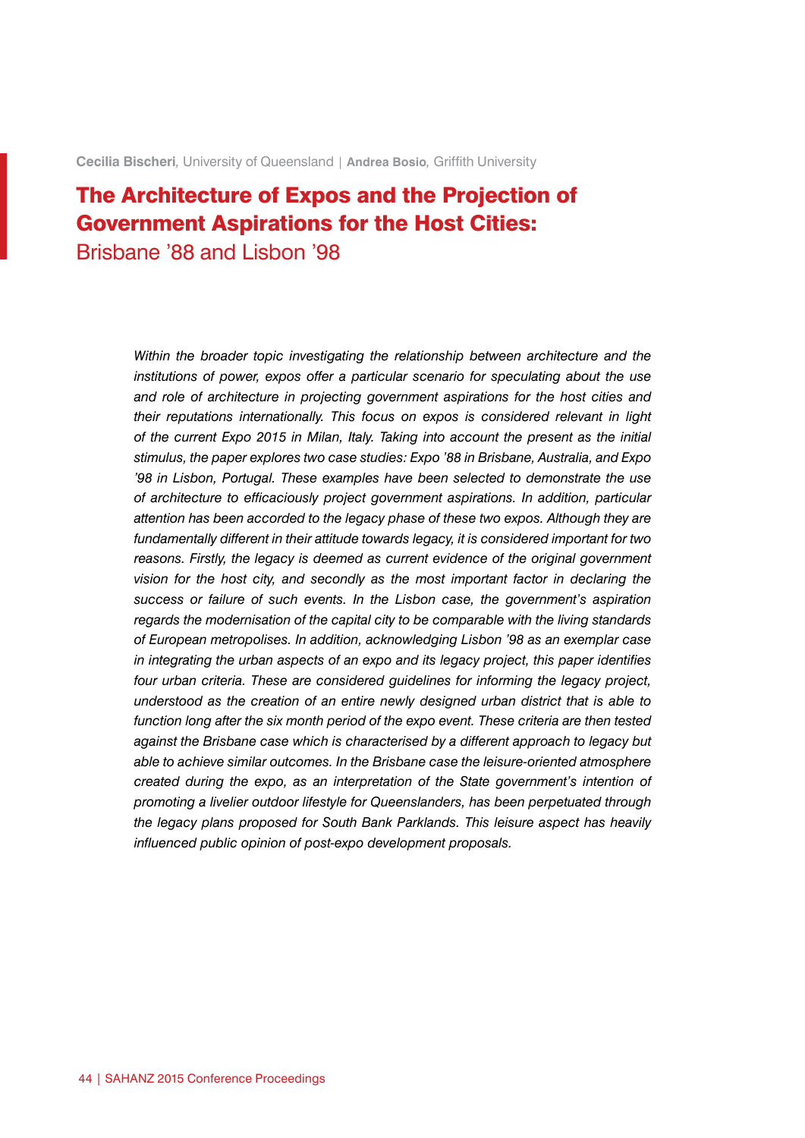**Cecilia Bischeri***,* University of Queensland | **Andrea Bosio***,* Griffith University

## The Architecture of Expos and the Projection of Government Aspirations for the Host Cities: Brisbane '88 and Lisbon '98

*Within the broader topic investigating the relationship between architecture and the institutions of power, expos offer a particular scenario for speculating about the use and role of architecture in projecting government aspirations for the host cities and their reputations internationally. This focus on expos is considered relevant in light of the current Expo 2015 in Milan, Italy. Taking into account the present as the initial stimulus, the paper explores two case studies: Expo '88 in Brisbane, Australia, and Expo '98 in Lisbon, Portugal. These examples have been selected to demonstrate the use of architecture to efficaciously project government aspirations. In addition, particular attention has been accorded to the legacy phase of these two expos. Although they are fundamentally different in their attitude towards legacy, it is considered important for two reasons. Firstly, the legacy is deemed as current evidence of the original government vision for the host city, and secondly as the most important factor in declaring the success or failure of such events. In the Lisbon case, the government's aspiration regards the modernisation of the capital city to be comparable with the living standards of European metropolises. In addition, acknowledging Lisbon '98 as an exemplar case in integrating the urban aspects of an expo and its legacy project, this paper identifies four urban criteria. These are considered guidelines for informing the legacy project, understood as the creation of an entire newly designed urban district that is able to function long after the six month period of the expo event. These criteria are then tested against the Brisbane case which is characterised by a different approach to legacy but able to achieve similar outcomes. In the Brisbane case the leisure-oriented atmosphere created during the expo, as an interpretation of the State government's intention of promoting a livelier outdoor lifestyle for Queenslanders, has been perpetuated through the legacy plans proposed for South Bank Parklands. This leisure aspect has heavily influenced public opinion of post-expo development proposals.*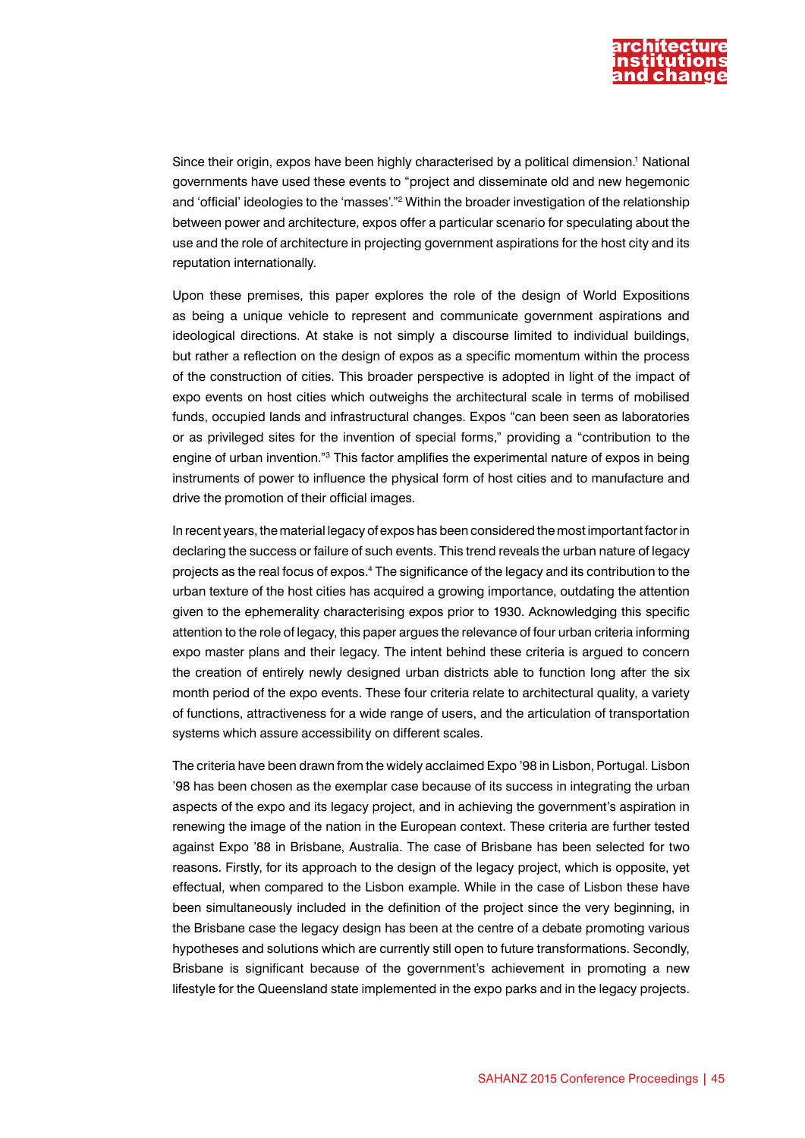

Since their origin, expos have been highly characterised by a political dimension.<sup>1</sup> National governments have used these events to "project and disseminate old and new hegemonic and 'official' ideologies to the 'masses'."2 Within the broader investigation of the relationship between power and architecture, expos offer a particular scenario for speculating about the use and the role of architecture in projecting government aspirations for the host city and its reputation internationally.

Upon these premises, this paper explores the role of the design of World Expositions as being a unique vehicle to represent and communicate government aspirations and ideological directions. At stake is not simply a discourse limited to individual buildings, but rather a reflection on the design of expos as a specific momentum within the process of the construction of cities. This broader perspective is adopted in light of the impact of expo events on host cities which outweighs the architectural scale in terms of mobilised funds, occupied lands and infrastructural changes. Expos "can been seen as laboratories or as privileged sites for the invention of special forms," providing a "contribution to the engine of urban invention."<sup>3</sup> This factor amplifies the experimental nature of expos in being instruments of power to influence the physical form of host cities and to manufacture and drive the promotion of their official images.

In recent years, the material legacy of expos has been considered the most important factor in declaring the success or failure of such events. This trend reveals the urban nature of legacy projects as the real focus of expos.4 The significance of the legacy and its contribution to the urban texture of the host cities has acquired a growing importance, outdating the attention given to the ephemerality characterising expos prior to 1930. Acknowledging this specific attention to the role of legacy, this paper argues the relevance of four urban criteria informing expo master plans and their legacy. The intent behind these criteria is argued to concern the creation of entirely newly designed urban districts able to function long after the six month period of the expo events. These four criteria relate to architectural quality, a variety of functions, attractiveness for a wide range of users, and the articulation of transportation systems which assure accessibility on different scales.

The criteria have been drawn from the widely acclaimed Expo '98 in Lisbon, Portugal. Lisbon '98 has been chosen as the exemplar case because of its success in integrating the urban aspects of the expo and its legacy project, and in achieving the government's aspiration in renewing the image of the nation in the European context. These criteria are further tested against Expo '88 in Brisbane, Australia. The case of Brisbane has been selected for two reasons. Firstly, for its approach to the design of the legacy project, which is opposite, yet effectual, when compared to the Lisbon example. While in the case of Lisbon these have been simultaneously included in the definition of the project since the very beginning, in the Brisbane case the legacy design has been at the centre of a debate promoting various hypotheses and solutions which are currently still open to future transformations. Secondly, Brisbane is significant because of the government's achievement in promoting a new lifestyle for the Queensland state implemented in the expo parks and in the legacy projects.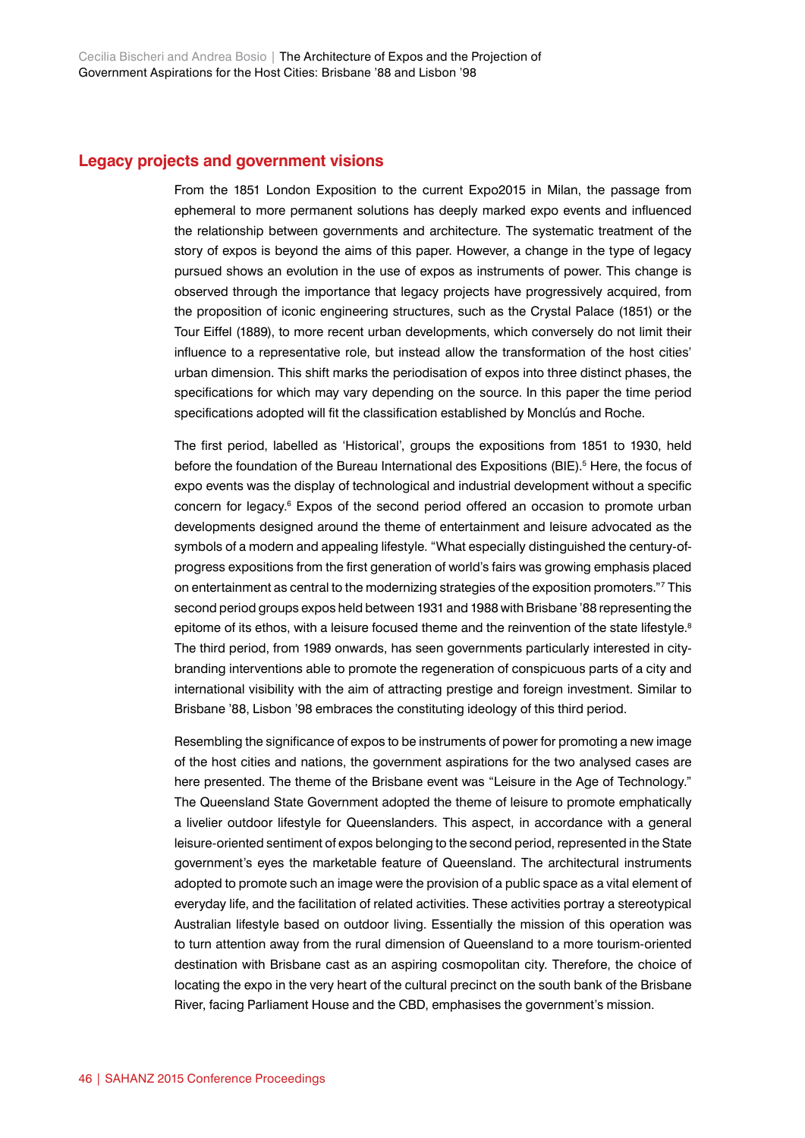#### **Legacy projects and government visions**

From the 1851 London Exposition to the current Expo2015 in Milan, the passage from ephemeral to more permanent solutions has deeply marked expo events and influenced the relationship between governments and architecture. The systematic treatment of the story of expos is beyond the aims of this paper. However, a change in the type of legacy pursued shows an evolution in the use of expos as instruments of power. This change is observed through the importance that legacy projects have progressively acquired, from the proposition of iconic engineering structures, such as the Crystal Palace (1851) or the Tour Eiffel (1889), to more recent urban developments, which conversely do not limit their influence to a representative role, but instead allow the transformation of the host cities' urban dimension. This shift marks the periodisation of expos into three distinct phases, the specifications for which may vary depending on the source. In this paper the time period specifications adopted will fit the classification established by Monclús and Roche.

The first period, labelled as 'Historical', groups the expositions from 1851 to 1930, held before the foundation of the Bureau International des Expositions (BIE).<sup>5</sup> Here, the focus of expo events was the display of technological and industrial development without a specific concern for legacy.<sup>6</sup> Expos of the second period offered an occasion to promote urban developments designed around the theme of entertainment and leisure advocated as the symbols of a modern and appealing lifestyle. "What especially distinguished the century-ofprogress expositions from the first generation of world's fairs was growing emphasis placed on entertainment as central to the modernizing strategies of the exposition promoters."7 This second period groups expos held between 1931 and 1988 with Brisbane '88 representing the epitome of its ethos, with a leisure focused theme and the reinvention of the state lifestyle.<sup>8</sup> The third period, from 1989 onwards, has seen governments particularly interested in citybranding interventions able to promote the regeneration of conspicuous parts of a city and international visibility with the aim of attracting prestige and foreign investment. Similar to Brisbane '88, Lisbon '98 embraces the constituting ideology of this third period.

Resembling the significance of expos to be instruments of power for promoting a new image of the host cities and nations, the government aspirations for the two analysed cases are here presented. The theme of the Brisbane event was "Leisure in the Age of Technology." The Queensland State Government adopted the theme of leisure to promote emphatically a livelier outdoor lifestyle for Queenslanders. This aspect, in accordance with a general leisure-oriented sentiment of expos belonging to the second period, represented in the State government's eyes the marketable feature of Queensland. The architectural instruments adopted to promote such an image were the provision of a public space as a vital element of everyday life, and the facilitation of related activities. These activities portray a stereotypical Australian lifestyle based on outdoor living. Essentially the mission of this operation was to turn attention away from the rural dimension of Queensland to a more tourism-oriented destination with Brisbane cast as an aspiring cosmopolitan city. Therefore, the choice of locating the expo in the very heart of the cultural precinct on the south bank of the Brisbane River, facing Parliament House and the CBD, emphasises the government's mission.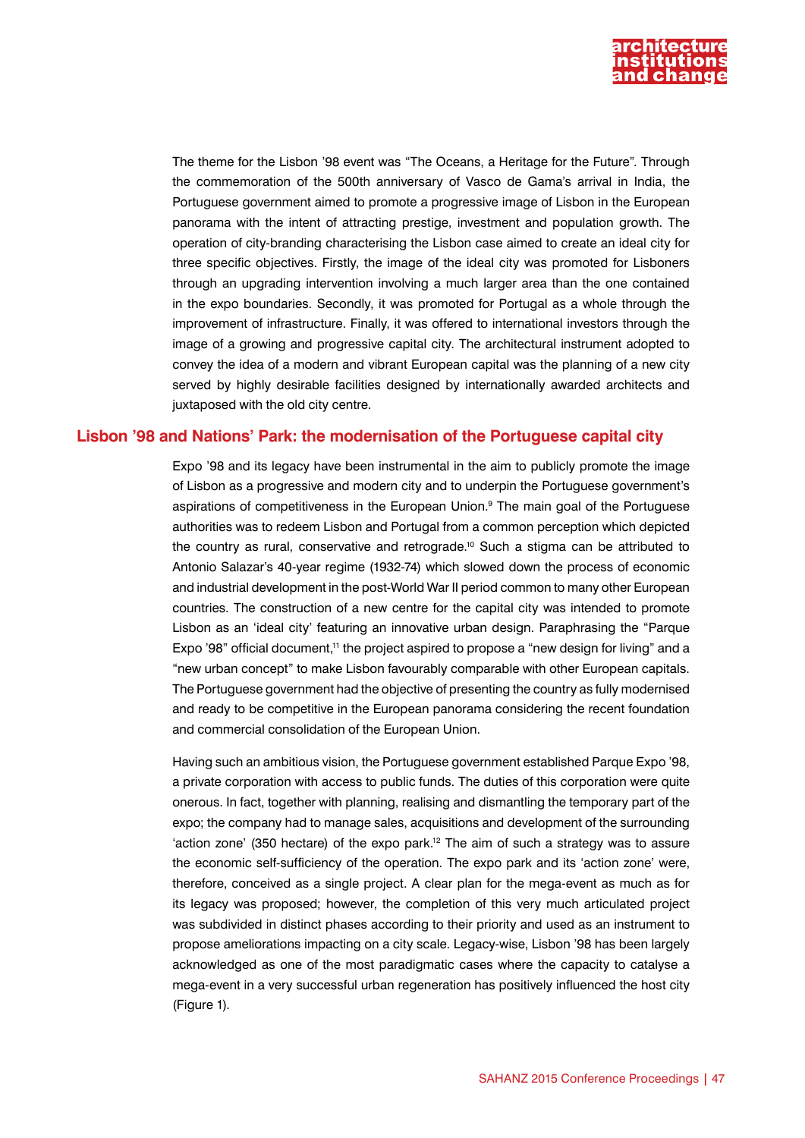

The theme for the Lisbon '98 event was "The Oceans, a Heritage for the Future". Through the commemoration of the 500th anniversary of Vasco de Gama's arrival in India, the Portuguese government aimed to promote a progressive image of Lisbon in the European panorama with the intent of attracting prestige, investment and population growth. The operation of city-branding characterising the Lisbon case aimed to create an ideal city for three specific objectives. Firstly, the image of the ideal city was promoted for Lisboners through an upgrading intervention involving a much larger area than the one contained in the expo boundaries. Secondly, it was promoted for Portugal as a whole through the improvement of infrastructure. Finally, it was offered to international investors through the image of a growing and progressive capital city. The architectural instrument adopted to convey the idea of a modern and vibrant European capital was the planning of a new city served by highly desirable facilities designed by internationally awarded architects and juxtaposed with the old city centre.

#### **Lisbon '98 and Nations' Park: the modernisation of the Portuguese capital city**

Expo '98 and its legacy have been instrumental in the aim to publicly promote the image of Lisbon as a progressive and modern city and to underpin the Portuguese government's aspirations of competitiveness in the European Union.<sup>9</sup> The main goal of the Portuguese authorities was to redeem Lisbon and Portugal from a common perception which depicted the country as rural, conservative and retrograde.<sup>10</sup> Such a stigma can be attributed to Antonio Salazar's 40-year regime (1932-74) which slowed down the process of economic and industrial development in the post-World War II period common to many other European countries. The construction of a new centre for the capital city was intended to promote Lisbon as an 'ideal city' featuring an innovative urban design. Paraphrasing the "Parque Expo '98" official document,<sup>11</sup> the project aspired to propose a "new design for living" and a "new urban concept" to make Lisbon favourably comparable with other European capitals. The Portuguese government had the objective of presenting the country as fully modernised and ready to be competitive in the European panorama considering the recent foundation and commercial consolidation of the European Union.

Having such an ambitious vision, the Portuguese government established Parque Expo '98, a private corporation with access to public funds. The duties of this corporation were quite onerous. In fact, together with planning, realising and dismantling the temporary part of the expo; the company had to manage sales, acquisitions and development of the surrounding 'action zone' (350 hectare) of the expo park.<sup>12</sup> The aim of such a strategy was to assure the economic self-sufficiency of the operation. The expo park and its 'action zone' were, therefore, conceived as a single project. A clear plan for the mega-event as much as for its legacy was proposed; however, the completion of this very much articulated project was subdivided in distinct phases according to their priority and used as an instrument to propose ameliorations impacting on a city scale. Legacy-wise, Lisbon '98 has been largely acknowledged as one of the most paradigmatic cases where the capacity to catalyse a mega-event in a very successful urban regeneration has positively influenced the host city (Figure 1).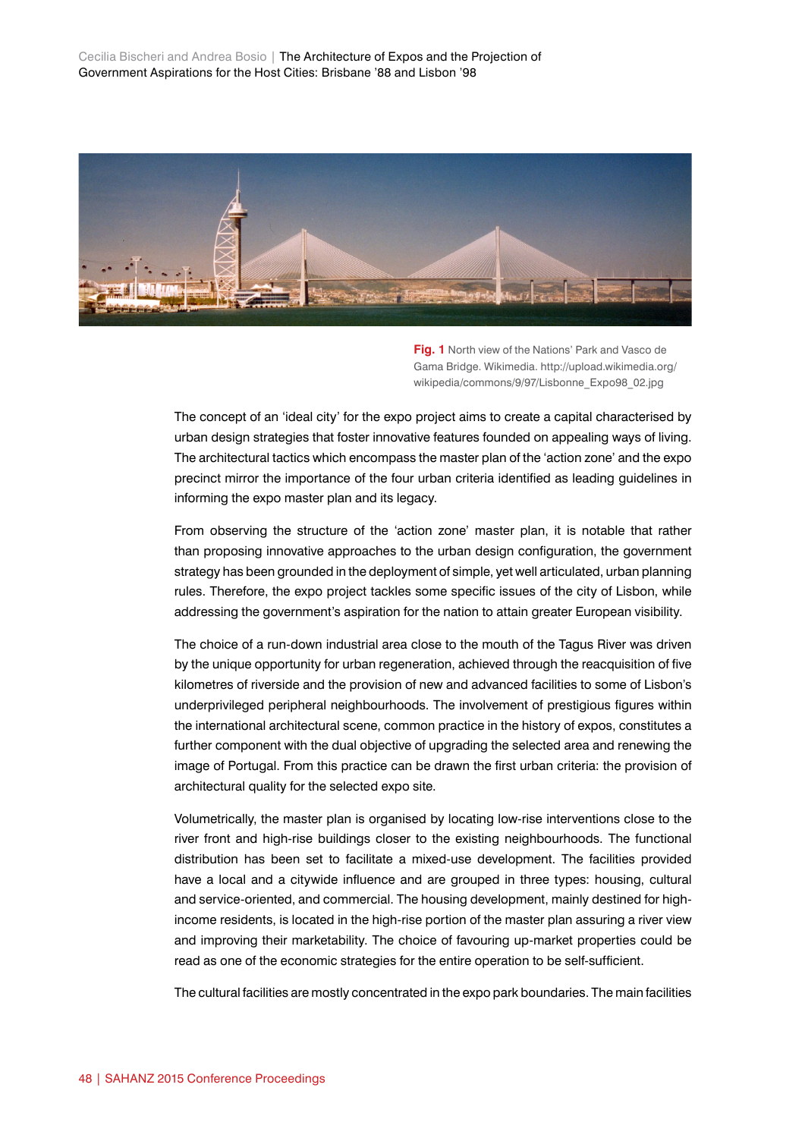Cecilia Bischeri and Andrea Bosio | The Architecture of Expos and the Projection of Government Aspirations for the Host Cities: Brisbane '88 and Lisbon '98



**Fig. 1** North view of the Nations' Park and Vasco de Gama Bridge. Wikimedia. http://upload.wikimedia.org/ wikipedia/commons/9/97/Lisbonne\_Expo98\_02.jpg

The concept of an 'ideal city' for the expo project aims to create a capital characterised by urban design strategies that foster innovative features founded on appealing ways of living. The architectural tactics which encompass the master plan of the 'action zone' and the expo precinct mirror the importance of the four urban criteria identified as leading guidelines in informing the expo master plan and its legacy.

From observing the structure of the 'action zone' master plan, it is notable that rather than proposing innovative approaches to the urban design configuration, the government strategy has been grounded in the deployment of simple, yet well articulated, urban planning rules. Therefore, the expo project tackles some specific issues of the city of Lisbon, while addressing the government's aspiration for the nation to attain greater European visibility.

The choice of a run-down industrial area close to the mouth of the Tagus River was driven by the unique opportunity for urban regeneration, achieved through the reacquisition of five kilometres of riverside and the provision of new and advanced facilities to some of Lisbon's underprivileged peripheral neighbourhoods. The involvement of prestigious figures within the international architectural scene, common practice in the history of expos, constitutes a further component with the dual objective of upgrading the selected area and renewing the image of Portugal. From this practice can be drawn the first urban criteria: the provision of architectural quality for the selected expo site.

Volumetrically, the master plan is organised by locating low-rise interventions close to the river front and high-rise buildings closer to the existing neighbourhoods. The functional distribution has been set to facilitate a mixed-use development. The facilities provided have a local and a citywide influence and are grouped in three types: housing, cultural and service-oriented, and commercial. The housing development, mainly destined for highincome residents, is located in the high-rise portion of the master plan assuring a river view and improving their marketability. The choice of favouring up-market properties could be read as one of the economic strategies for the entire operation to be self-sufficient.

The cultural facilities are mostly concentrated in the expo park boundaries. The main facilities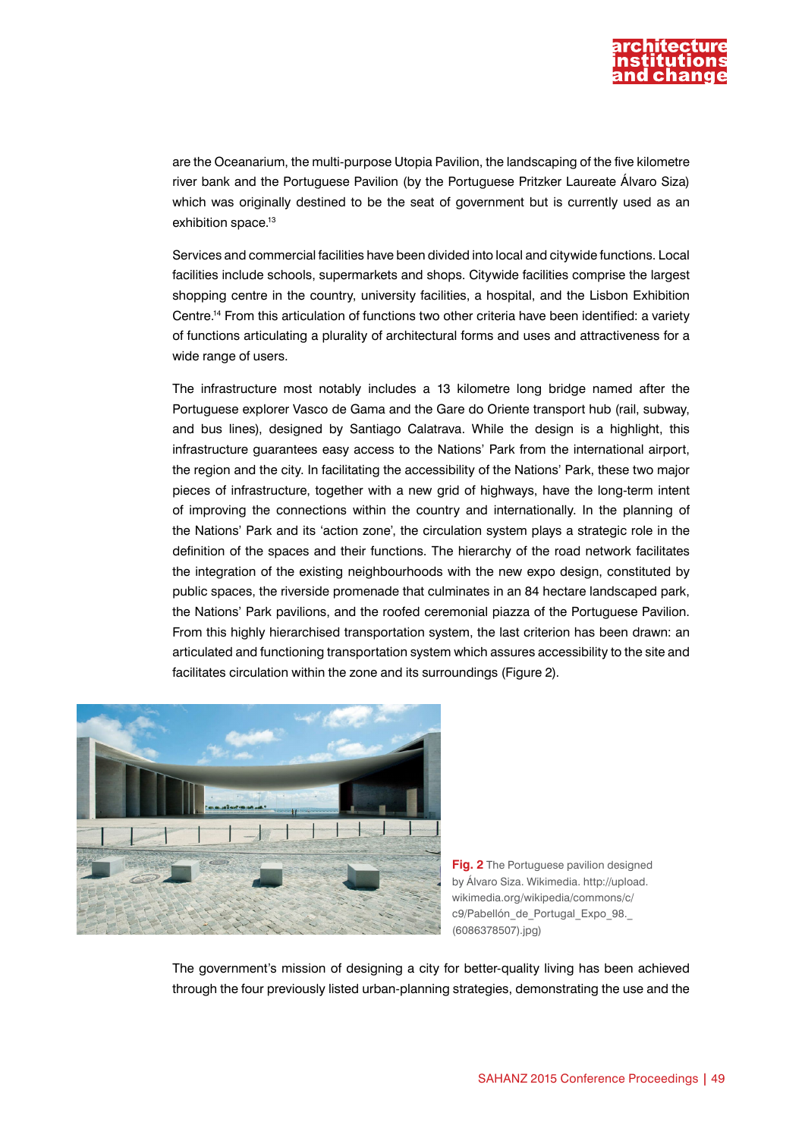

are the Oceanarium, the multi-purpose Utopia Pavilion, the landscaping of the five kilometre river bank and the Portuguese Pavilion (by the Portuguese Pritzker Laureate Álvaro Siza) which was originally destined to be the seat of government but is currently used as an exhibition space.<sup>13</sup>

Services and commercial facilities have been divided into local and citywide functions. Local facilities include schools, supermarkets and shops. Citywide facilities comprise the largest shopping centre in the country, university facilities, a hospital, and the Lisbon Exhibition Centre.14 From this articulation of functions two other criteria have been identified: a variety of functions articulating a plurality of architectural forms and uses and attractiveness for a wide range of users.

The infrastructure most notably includes a 13 kilometre long bridge named after the Portuguese explorer Vasco de Gama and the Gare do Oriente transport hub (rail, subway, and bus lines), designed by Santiago Calatrava. While the design is a highlight, this infrastructure guarantees easy access to the Nations' Park from the international airport, the region and the city. In facilitating the accessibility of the Nations' Park, these two major pieces of infrastructure, together with a new grid of highways, have the long-term intent of improving the connections within the country and internationally. In the planning of the Nations' Park and its 'action zone', the circulation system plays a strategic role in the definition of the spaces and their functions. The hierarchy of the road network facilitates the integration of the existing neighbourhoods with the new expo design, constituted by public spaces, the riverside promenade that culminates in an 84 hectare landscaped park, the Nations' Park pavilions, and the roofed ceremonial piazza of the Portuguese Pavilion. From this highly hierarchised transportation system, the last criterion has been drawn: an articulated and functioning transportation system which assures accessibility to the site and facilitates circulation within the zone and its surroundings (Figure 2).



**Fig. 2** The Portuguese pavilion designed by Álvaro Siza. Wikimedia. http://upload. wikimedia.org/wikipedia/commons/c/ c9/Pabellón de Portugal Expo 98. (6086378507).jpg)

The government's mission of designing a city for better-quality living has been achieved through the four previously listed urban-planning strategies, demonstrating the use and the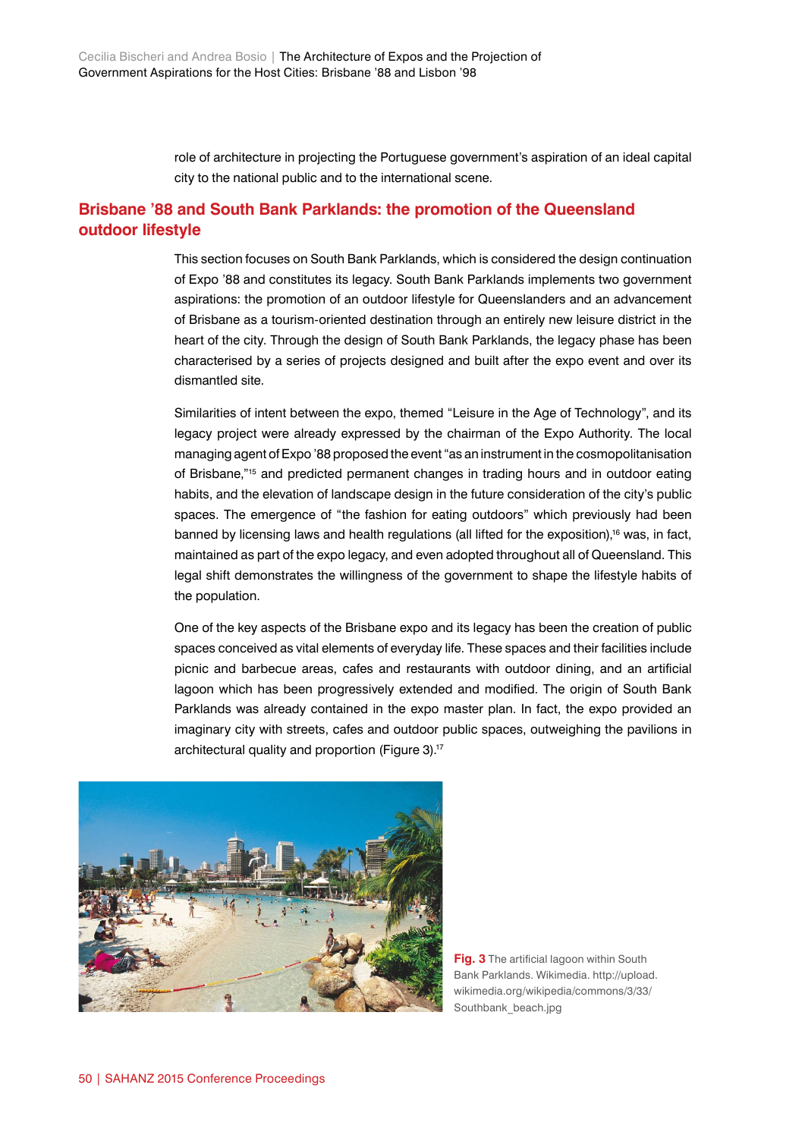role of architecture in projecting the Portuguese government's aspiration of an ideal capital city to the national public and to the international scene.

### **Brisbane '88 and South Bank Parklands: the promotion of the Queensland outdoor lifestyle**

This section focuses on South Bank Parklands, which is considered the design continuation of Expo '88 and constitutes its legacy. South Bank Parklands implements two government aspirations: the promotion of an outdoor lifestyle for Queenslanders and an advancement of Brisbane as a tourism-oriented destination through an entirely new leisure district in the heart of the city. Through the design of South Bank Parklands, the legacy phase has been characterised by a series of projects designed and built after the expo event and over its dismantled site.

Similarities of intent between the expo, themed "Leisure in the Age of Technology", and its legacy project were already expressed by the chairman of the Expo Authority. The local managing agent of Expo '88 proposed the event "as an instrument in the cosmopolitanisation of Brisbane,"15 and predicted permanent changes in trading hours and in outdoor eating habits, and the elevation of landscape design in the future consideration of the city's public spaces. The emergence of "the fashion for eating outdoors" which previously had been banned by licensing laws and health regulations (all lifted for the exposition),<sup>16</sup> was, in fact, maintained as part of the expo legacy, and even adopted throughout all of Queensland. This legal shift demonstrates the willingness of the government to shape the lifestyle habits of the population.

One of the key aspects of the Brisbane expo and its legacy has been the creation of public spaces conceived as vital elements of everyday life. These spaces and their facilities include picnic and barbecue areas, cafes and restaurants with outdoor dining, and an artificial lagoon which has been progressively extended and modified. The origin of South Bank Parklands was already contained in the expo master plan. In fact, the expo provided an imaginary city with streets, cafes and outdoor public spaces, outweighing the pavilions in architectural quality and proportion (Figure 3).<sup>17</sup>



**Fig. 3** The artificial lagoon within South Bank Parklands. Wikimedia. http://upload. wikimedia.org/wikipedia/commons/3/33/ Southbank\_beach.jpg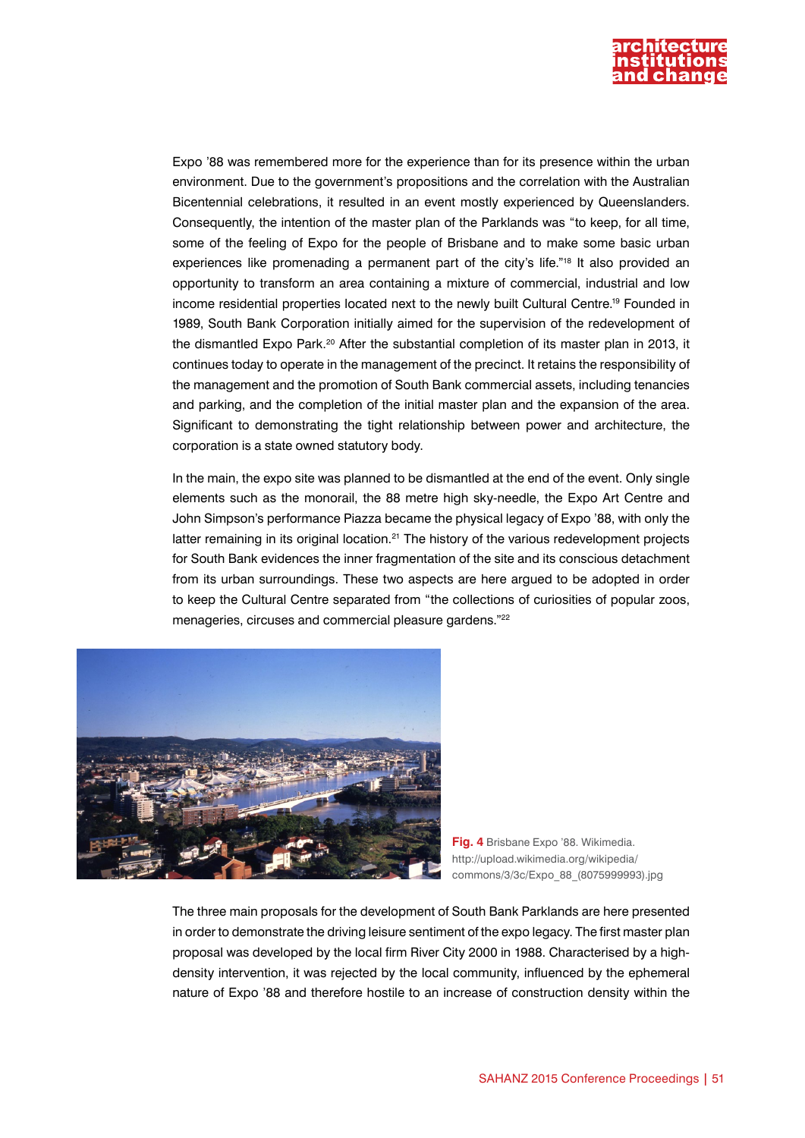

Expo '88 was remembered more for the experience than for its presence within the urban environment. Due to the government's propositions and the correlation with the Australian Bicentennial celebrations, it resulted in an event mostly experienced by Queenslanders. Consequently, the intention of the master plan of the Parklands was "to keep, for all time, some of the feeling of Expo for the people of Brisbane and to make some basic urban experiences like promenading a permanent part of the city's life."<sup>18</sup> It also provided an opportunity to transform an area containing a mixture of commercial, industrial and low income residential properties located next to the newly built Cultural Centre.19 Founded in 1989, South Bank Corporation initially aimed for the supervision of the redevelopment of the dismantled Expo Park.<sup>20</sup> After the substantial completion of its master plan in 2013, it continues today to operate in the management of the precinct. It retains the responsibility of the management and the promotion of South Bank commercial assets, including tenancies and parking, and the completion of the initial master plan and the expansion of the area. Significant to demonstrating the tight relationship between power and architecture, the corporation is a state owned statutory body.

In the main, the expo site was planned to be dismantled at the end of the event. Only single elements such as the monorail, the 88 metre high sky-needle, the Expo Art Centre and John Simpson's performance Piazza became the physical legacy of Expo '88, with only the latter remaining in its original location.<sup>21</sup> The history of the various redevelopment projects for South Bank evidences the inner fragmentation of the site and its conscious detachment from its urban surroundings. These two aspects are here argued to be adopted in order to keep the Cultural Centre separated from "the collections of curiosities of popular zoos, menageries, circuses and commercial pleasure gardens."<sup>22</sup>



**Fig. 4** Brisbane Expo '88. Wikimedia. http://upload.wikimedia.org/wikipedia/ commons/3/3c/Expo\_88\_(8075999993).jpg

The three main proposals for the development of South Bank Parklands are here presented in order to demonstrate the driving leisure sentiment of the expo legacy. The first master plan proposal was developed by the local firm River City 2000 in 1988. Characterised by a highdensity intervention, it was rejected by the local community, influenced by the ephemeral nature of Expo '88 and therefore hostile to an increase of construction density within the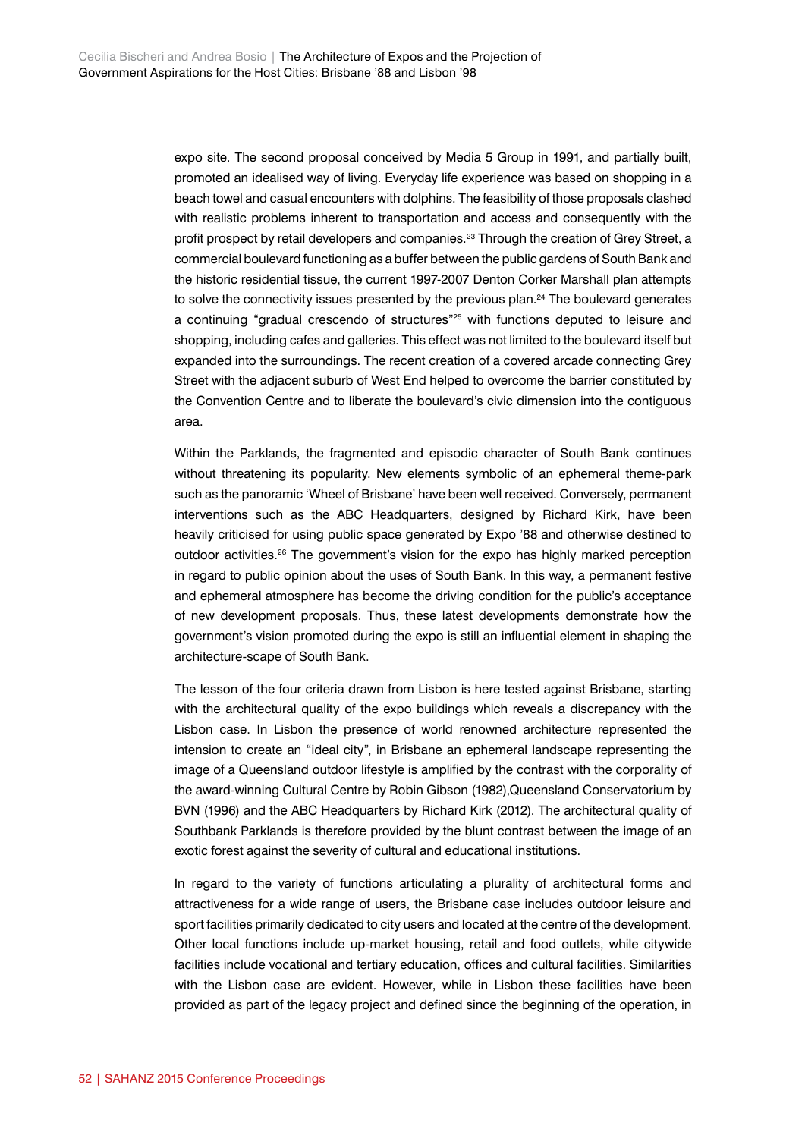expo site. The second proposal conceived by Media 5 Group in 1991, and partially built, promoted an idealised way of living. Everyday life experience was based on shopping in a beach towel and casual encounters with dolphins. The feasibility of those proposals clashed with realistic problems inherent to transportation and access and consequently with the profit prospect by retail developers and companies.<sup>23</sup> Through the creation of Grey Street, a commercial boulevard functioning as a buffer between the public gardens of South Bank and the historic residential tissue, the current 1997-2007 Denton Corker Marshall plan attempts to solve the connectivity issues presented by the previous plan.<sup>24</sup> The boulevard generates a continuing "gradual crescendo of structures"25 with functions deputed to leisure and shopping, including cafes and galleries. This effect was not limited to the boulevard itself but expanded into the surroundings. The recent creation of a covered arcade connecting Grey Street with the adjacent suburb of West End helped to overcome the barrier constituted by the Convention Centre and to liberate the boulevard's civic dimension into the contiguous area.

Within the Parklands, the fragmented and episodic character of South Bank continues without threatening its popularity. New elements symbolic of an ephemeral theme-park such as the panoramic 'Wheel of Brisbane' have been well received. Conversely, permanent interventions such as the ABC Headquarters, designed by Richard Kirk, have been heavily criticised for using public space generated by Expo '88 and otherwise destined to outdoor activities.<sup>26</sup> The government's vision for the expo has highly marked perception in regard to public opinion about the uses of South Bank. In this way, a permanent festive and ephemeral atmosphere has become the driving condition for the public's acceptance of new development proposals. Thus, these latest developments demonstrate how the government's vision promoted during the expo is still an influential element in shaping the architecture-scape of South Bank.

The lesson of the four criteria drawn from Lisbon is here tested against Brisbane, starting with the architectural quality of the expo buildings which reveals a discrepancy with the Lisbon case. In Lisbon the presence of world renowned architecture represented the intension to create an "ideal city", in Brisbane an ephemeral landscape representing the image of a Queensland outdoor lifestyle is amplified by the contrast with the corporality of the award-winning Cultural Centre by Robin Gibson (1982),Queensland Conservatorium by BVN (1996) and the ABC Headquarters by Richard Kirk (2012). The architectural quality of Southbank Parklands is therefore provided by the blunt contrast between the image of an exotic forest against the severity of cultural and educational institutions.

In regard to the variety of functions articulating a plurality of architectural forms and attractiveness for a wide range of users, the Brisbane case includes outdoor leisure and sport facilities primarily dedicated to city users and located at the centre of the development. Other local functions include up-market housing, retail and food outlets, while citywide facilities include vocational and tertiary education, offices and cultural facilities. Similarities with the Lisbon case are evident. However, while in Lisbon these facilities have been provided as part of the legacy project and defined since the beginning of the operation, in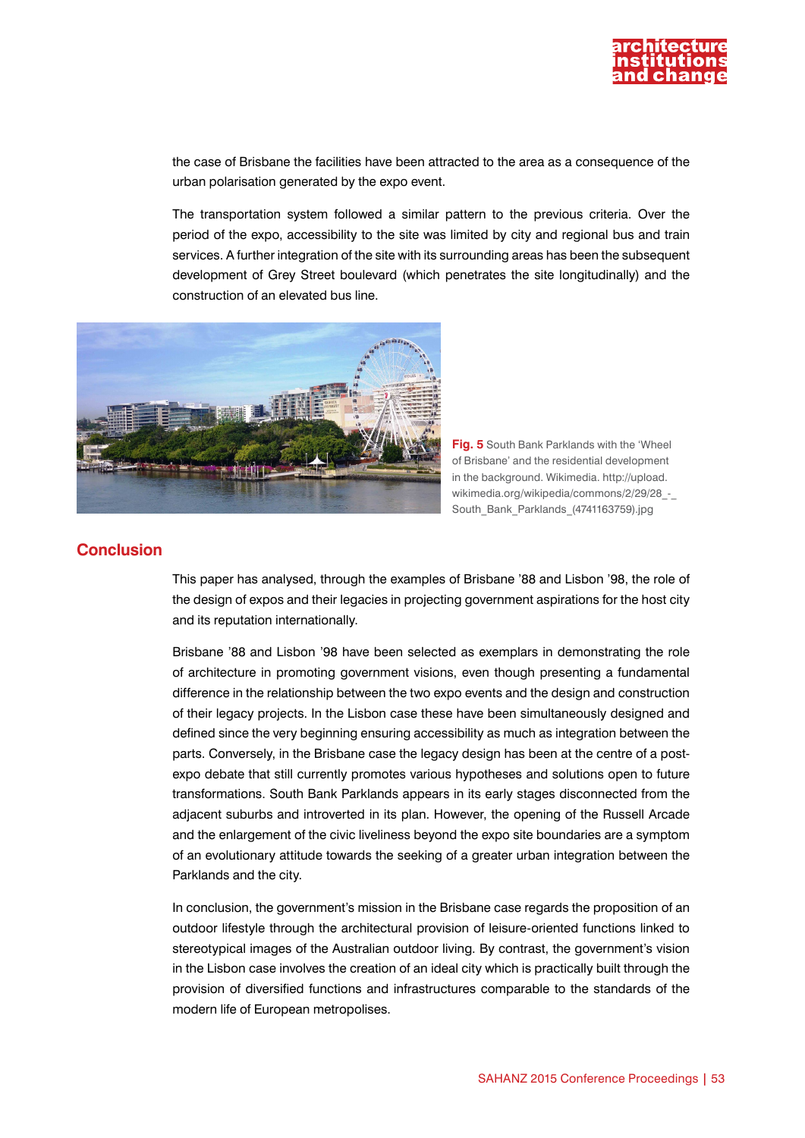

the case of Brisbane the facilities have been attracted to the area as a consequence of the urban polarisation generated by the expo event.

The transportation system followed a similar pattern to the previous criteria. Over the period of the expo, accessibility to the site was limited by city and regional bus and train services. A further integration of the site with its surrounding areas has been the subsequent development of Grey Street boulevard (which penetrates the site longitudinally) and the construction of an elevated bus line.



**Fig. 5** South Bank Parklands with the 'Wheel of Brisbane' and the residential development in the background. Wikimedia. http://upload. wikimedia.org/wikipedia/commons/2/29/28 -South\_Bank\_Parklands\_(4741163759).jpg

#### **Conclusion**

This paper has analysed, through the examples of Brisbane '88 and Lisbon '98, the role of the design of expos and their legacies in projecting government aspirations for the host city and its reputation internationally.

Brisbane '88 and Lisbon '98 have been selected as exemplars in demonstrating the role of architecture in promoting government visions, even though presenting a fundamental difference in the relationship between the two expo events and the design and construction of their legacy projects. In the Lisbon case these have been simultaneously designed and defined since the very beginning ensuring accessibility as much as integration between the parts. Conversely, in the Brisbane case the legacy design has been at the centre of a postexpo debate that still currently promotes various hypotheses and solutions open to future transformations. South Bank Parklands appears in its early stages disconnected from the adjacent suburbs and introverted in its plan. However, the opening of the Russell Arcade and the enlargement of the civic liveliness beyond the expo site boundaries are a symptom of an evolutionary attitude towards the seeking of a greater urban integration between the Parklands and the city.

In conclusion, the government's mission in the Brisbane case regards the proposition of an outdoor lifestyle through the architectural provision of leisure-oriented functions linked to stereotypical images of the Australian outdoor living. By contrast, the government's vision in the Lisbon case involves the creation of an ideal city which is practically built through the provision of diversified functions and infrastructures comparable to the standards of the modern life of European metropolises.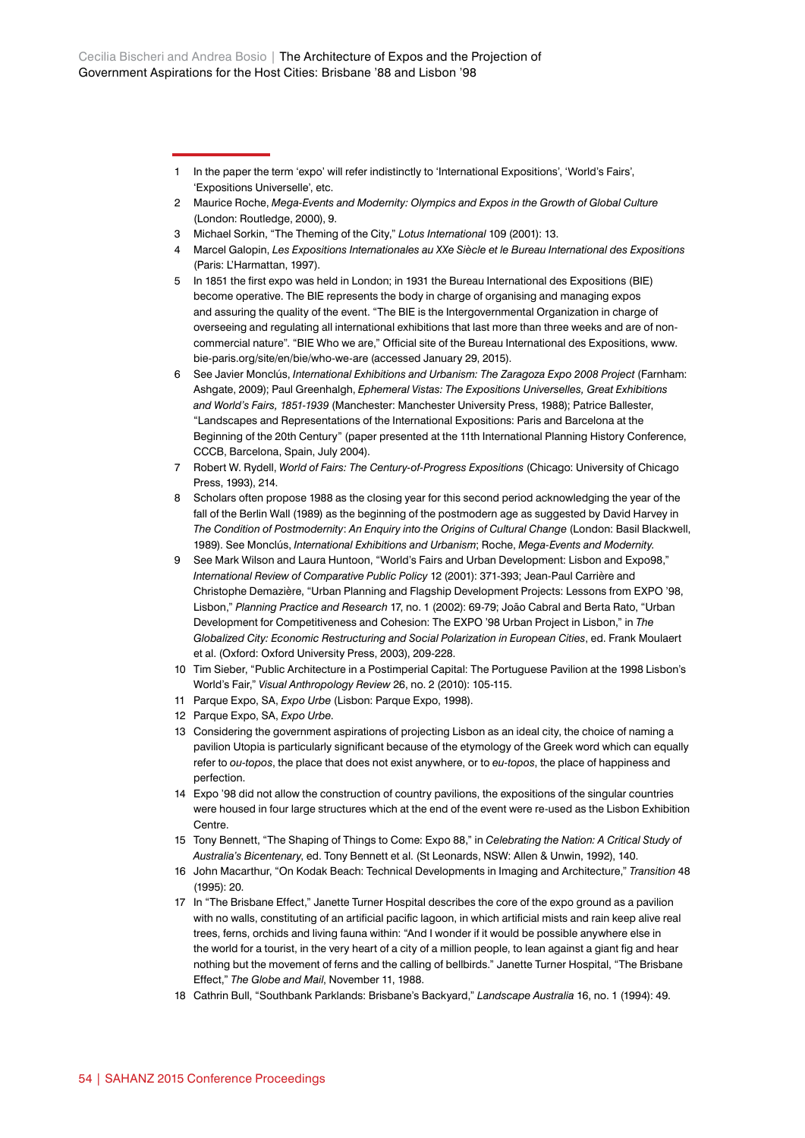- 1 In the paper the term 'expo' will refer indistinctly to 'International Expositions', 'World's Fairs', 'Expositions Universelle', etc.
- 2 Maurice Roche, *Mega-Events and Modernity: Olympics and Expos in the Growth of Global Culture* (London: Routledge, 2000), 9.
- 3 Michael Sorkin, "The Theming of the City," *Lotus International* 109 (2001): 13.
- 4 Marcel Galopin, *Les Expositions Internationales au XXe Siècle et le Bureau International des Expositions*  (Paris: L'Harmattan, 1997).
- 5 In 1851 the first expo was held in London; in 1931 the Bureau International des Expositions (BIE) become operative. The BIE represents the body in charge of organising and managing expos and assuring the quality of the event. "The BIE is the Intergovernmental Organization in charge of overseeing and regulating all international exhibitions that last more than three weeks and are of noncommercial nature". "BIE Who we are," Official site of the Bureau International des Expositions, [www.](http://www.bie-paris.org/site/en/bie/who-we-are) [bie-paris.org/site/en/bie/who-we-are](http://www.bie-paris.org/site/en/bie/who-we-are) (accessed January 29, 2015).
- 6 See Javier Monclús, *International Exhibitions and Urbanism: The Zaragoza Expo 2008 Project* (Farnham: Ashgate, 2009); Paul Greenhalgh, *Ephemeral Vistas: The Expositions Universelles, Great Exhibitions and World's Fairs, 1851-1939* (Manchester: Manchester University Press, 1988); Patrice Ballester, "Landscapes and Representations of the International Expositions: Paris and Barcelona at the Beginning of the 20th Century" (paper presented at the 11th International Planning History Conference, CCCB, Barcelona, Spain, July 2004).
- 7 Robert W. Rydell, *World of Fairs: The Century-of-Progress Expositions* (Chicago: University of Chicago Press, 1993), 214.
- 8 Scholars often propose 1988 as the closing year for this second period acknowledging the year of the fall of the Berlin Wall (1989) as the beginning of the postmodern age as suggested by David Harvey in *The Condition of Postmodernity*: *An Enquiry into the Origins of Cultural Change* (London: Basil Blackwell, 1989). See Monclús, *International Exhibitions and Urbanism*; Roche, *Mega-Events and Modernity*.
- 9 See Mark Wilson and Laura Huntoon, "World's Fairs and Urban Development: Lisbon and Expo98," *International Review of Comparative Public Policy* 12 (2001): 371-393; Jean-Paul Carrière and Christophe Demazière, "Urban Planning and Flagship Development Projects: Lessons from EXPO '98, Lisbon," *Planning Practice and Research* 17, no. 1 (2002): 69-79; João Cabral and Berta Rato, "Urban Development for Competitiveness and Cohesion: The EXPO '98 Urban Project in Lisbon," in *The Globalized City: Economic Restructuring and Social Polarization in European Cities*, ed. Frank Moulaert et al. (Oxford: Oxford University Press, 2003), 209-228.
- 10 Tim Sieber, "Public Architecture in a Postimperial Capital: The Portuguese Pavilion at the 1998 Lisbon's World's Fair," *Visual Anthropology Review* 26, no. 2 (2010): 105-115.
- 11 Parque Expo, SA, *Expo Urbe* (Lisbon: Parque Expo, 1998).
- 12 Parque Expo, SA, *Expo Urbe*.
- 13 Considering the government aspirations of projecting Lisbon as an ideal city, the choice of naming a pavilion Utopia is particularly significant because of the etymology of the Greek word which can equally refer to *ou-topos*, the place that does not exist anywhere, or to *eu-topos*, the place of happiness and perfection.
- 14 Expo '98 did not allow the construction of country pavilions, the expositions of the singular countries were housed in four large structures which at the end of the event were re-used as the Lisbon Exhibition Centre.
- 15 Tony Bennett, "The Shaping of Things to Come: Expo 88," in *Celebrating the Nation: A Critical Study of Australia's Bicentenary*, ed. Tony Bennett et al. (St Leonards, NSW: Allen & Unwin, 1992), 140.
- 16 John Macarthur, "On Kodak Beach: Technical Developments in Imaging and Architecture," *Transition* 48 (1995): 20.
- 17 In "The Brisbane Effect," Janette Turner Hospital describes the core of the expo ground as a pavilion with no walls, constituting of an artificial pacific lagoon, in which artificial mists and rain keep alive real trees, ferns, orchids and living fauna within: "And I wonder if it would be possible anywhere else in the world for a tourist, in the very heart of a city of a million people, to lean against a giant fig and hear nothing but the movement of ferns and the calling of bellbirds." Janette Turner Hospital, "The Brisbane Effect," *The Globe and Mail*, November 11, 1988.
- 18 Cathrin Bull, "Southbank Parklands: Brisbane's Backyard," *Landscape Australia* 16, no. 1 (1994): 49.